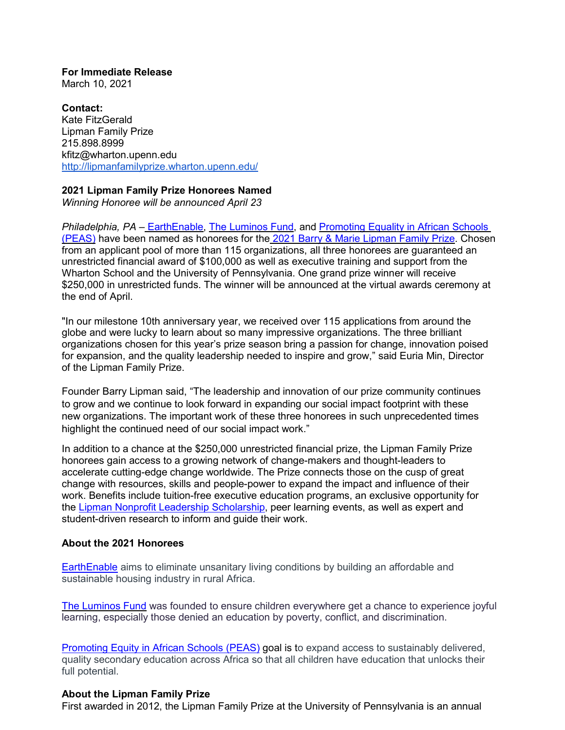**For Immediate Release** March 10, 2021

**Contact:** Kate FitzGerald Lipman Family Prize 215.898.8999 [kfitz@wharton.upenn.edu](mailto:kfitz@wharton.upenn.edu) <http://lipmanfamilyprize.wharton.upenn.edu/>

## **2021 Lipman Family Prize Honorees Named**

*Winning Honoree will be announced April 23*

*Philadelphia, PA* – [EarthEnable,](https://www.earthenable.org/) [The Luminos](http://luminosfund.org/) Fund, and [Promoting Equality in African Schools](http://peas.org.uk/) [\(PEAS\)](http://peas.org.uk/) have been named as honorees for the 2021 [Barry & Marie Lipman Family Prize.](https://lipmanfamilyprize.wharton.upenn.edu/meet-our-honorees/) Chosen from an applicant pool of more than 115 organizations, all three honorees are guaranteed an unrestricted financial award of \$100,000 as well as executive training and support from the Wharton School and the University of Pennsylvania. One grand prize winner will receive \$250,000 in unrestricted funds. The winner will be announced at the virtual awards ceremony at the end of April.

"In our milestone 10th anniversary year, we received over 115 applications from around the globe and were lucky to learn about so many impressive organizations. The three brilliant organizations chosen for this year's prize season bring a passion for change, innovation poised for expansion, and the quality leadership needed to inspire and grow," said Euria Min, Director of the Lipman Family Prize.

Founder Barry Lipman said, "The leadership and innovation of our prize community continues to grow and we continue to look forward in expanding our social impact footprint with these new organizations. The important work of these three honorees in such unprecedented times highlight the continued need of our social impact work."

In addition to a chance at the \$250,000 unrestricted financial prize, the Lipman Family Prize honorees gain access to a growing network of change-makers and thought-leaders to accelerate cutting-edge change worldwide. The Prize connects those on the cusp of great change with resources, skills and people-power to expand the impact and influence of their work. Benefits include tuition-free executive education programs, an exclusive opportunity for the [Lipman Nonprofit Leadership Scholarship,](https://lipmanfamilyprize.wharton.upenn.edu/new-nonprofit-leadership-scholarship/) peer learning events, as well as expert and student-driven research to inform and guide their work.

## **About the 2021 Honorees**

**[EarthEnable](https://lipmanfamilyprize.wharton.upenn.edu/earth-enable/)** aims to eliminate unsanitary living conditions by building an affordable and sustainable housing industry in rural Africa.

[The Luminos Fund](https://lipmanfamilyprize.wharton.upenn.edu/luminos-fund/) was founded to ensure children everywhere get a chance to experience joyful learning, especially those denied an education by poverty, conflict, and discrimination.

[Promoting Equity in African Schools](https://lipmanfamilyprize.wharton.upenn.edu/peas/) (PEAS) goal is to expand access to sustainably delivered, quality secondary education across Africa so that all children have education that unlocks their full potential.

## **About the Lipman Family Prize**

First awarded in 2012, the Lipman Family Prize at the University of Pennsylvania is an annual